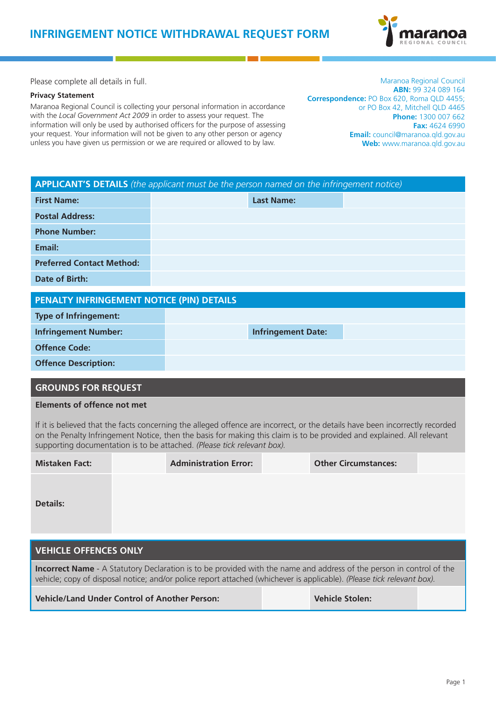

Please complete all details in full.

#### **Privacy Statement**

Maranoa Regional Council is collecting your personal information in accordance with the *Local Government Act 2009* in order to assess your request. The information will only be used by authorised officers for the purpose of assessing your request. Your information will not be given to any other person or agency unless you have given us permission or we are required or allowed to by law.

Maranoa Regional Council **ABN:** 99 324 089 164 **Correspondence:** PO Box 620, Roma QLD 4455; or PO Box 42, Mitchell QLD 4465 **Phone:** 1300 007 662 **Fax:** 4624 6990 **Email:** council@maranoa.qld.gov.au **Web:** www.maranoa.qld.gov.au

| <b>APPLICANT'S DETAILS</b> (the applicant must be the person named on the infringement notice) |  |                           |  |
|------------------------------------------------------------------------------------------------|--|---------------------------|--|
| <b>First Name:</b>                                                                             |  | <b>Last Name:</b>         |  |
| <b>Postal Address:</b>                                                                         |  |                           |  |
| <b>Phone Number:</b>                                                                           |  |                           |  |
| Email:                                                                                         |  |                           |  |
| <b>Preferred Contact Method:</b>                                                               |  |                           |  |
| Date of Birth:                                                                                 |  |                           |  |
|                                                                                                |  |                           |  |
| PENALTY INFRINGEMENT NOTICE (PIN) DETAILS                                                      |  |                           |  |
| <b>Type of Infringement:</b>                                                                   |  |                           |  |
| <b>Infringement Number:</b>                                                                    |  | <b>Infringement Date:</b> |  |
| <b>Offence Code:</b>                                                                           |  |                           |  |
| <b>Offence Description:</b>                                                                    |  |                           |  |
|                                                                                                |  |                           |  |

## **GROUNDS FOR REQUEST**

#### **Elements of offence not met**

If it is believed that the facts concerning the alleged offence are incorrect, or the details have been incorrectly recorded on the Penalty Infringement Notice, then the basis for making this claim is to be provided and explained. All relevant supporting documentation is to be attached. *(Please tick relevant box).*

| <b>Mistaken Fact:</b>                                                                                                                                                                                                                                 | <b>Administration Error:</b> | <b>Other Circumstances:</b> |
|-------------------------------------------------------------------------------------------------------------------------------------------------------------------------------------------------------------------------------------------------------|------------------------------|-----------------------------|
| <b>Details:</b>                                                                                                                                                                                                                                       |                              |                             |
|                                                                                                                                                                                                                                                       |                              |                             |
| <b>VEHICLE OFFENCES ONLY</b>                                                                                                                                                                                                                          |                              |                             |
| <b>Incorrect Name</b> - A Statutory Declaration is to be provided with the name and address of the person in control of the<br>vehicle; copy of disposal notice; and/or police report attached (whichever is applicable). (Please tick relevant box). |                              |                             |

**Vehicle/Land Under Control of Another Person: Vehicle Stolen:**